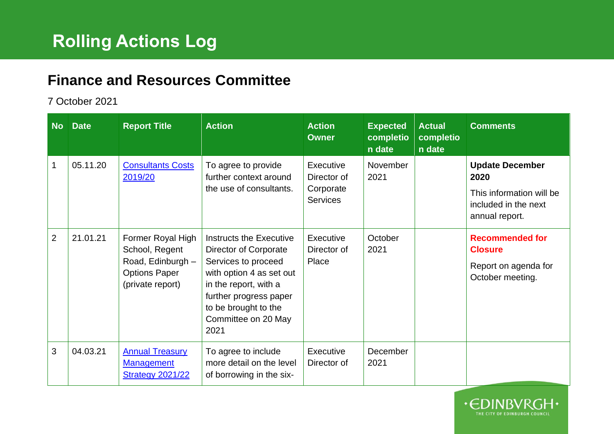## **Finance and Resources Committee**

## 7 October 2021

| <b>No</b>      | <b>Date</b> | <b>Report Title</b>                                                                                  | <b>Action</b>                                                                                                                                                                                                 | <b>Action</b><br><b>Owner</b>                            | <b>Expected</b><br>completio<br>n date | <b>Actual</b><br>completio<br>n date | <b>Comments</b>                                                                                      |
|----------------|-------------|------------------------------------------------------------------------------------------------------|---------------------------------------------------------------------------------------------------------------------------------------------------------------------------------------------------------------|----------------------------------------------------------|----------------------------------------|--------------------------------------|------------------------------------------------------------------------------------------------------|
| 1              | 05.11.20    | <b>Consultants Costs</b><br>2019/20                                                                  | To agree to provide<br>further context around<br>the use of consultants.                                                                                                                                      | Executive<br>Director of<br>Corporate<br><b>Services</b> | November<br>2021                       |                                      | <b>Update December</b><br>2020<br>This information will be<br>included in the next<br>annual report. |
| $\overline{2}$ | 21.01.21    | Former Royal High<br>School, Regent<br>Road, Edinburgh -<br><b>Options Paper</b><br>(private report) | Instructs the Executive<br>Director of Corporate<br>Services to proceed<br>with option 4 as set out<br>in the report, with a<br>further progress paper<br>to be brought to the<br>Committee on 20 May<br>2021 | Executive<br>Director of<br>Place                        | October<br>2021                        |                                      | <b>Recommended for</b><br><b>Closure</b><br>Report on agenda for<br>October meeting.                 |
| 3              | 04.03.21    | <b>Annual Treasury</b><br><b>Management</b><br><b>Strategy 2021/22</b>                               | To agree to include<br>more detail on the level<br>of borrowing in the six-                                                                                                                                   | Executive<br>Director of                                 | December<br>2021                       |                                      |                                                                                                      |

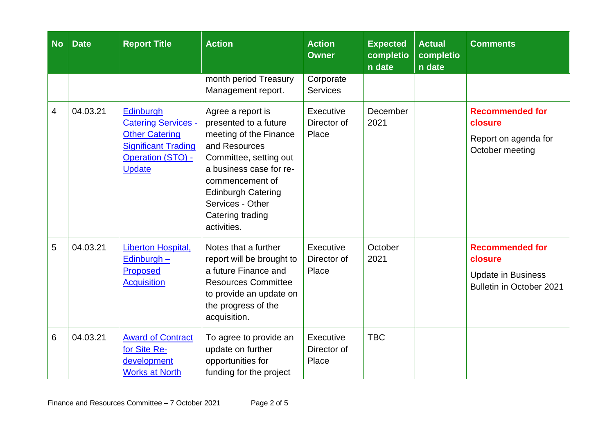| <b>No</b>      | <b>Date</b> | <b>Report Title</b>                                                                                                                                | <b>Action</b>                                                                                                                                                                                                                                     | <b>Action</b><br><b>Owner</b>     | <b>Expected</b><br>completio<br>n date | <b>Actual</b><br>completio<br>n date | <b>Comments</b>                                                                            |
|----------------|-------------|----------------------------------------------------------------------------------------------------------------------------------------------------|---------------------------------------------------------------------------------------------------------------------------------------------------------------------------------------------------------------------------------------------------|-----------------------------------|----------------------------------------|--------------------------------------|--------------------------------------------------------------------------------------------|
|                |             |                                                                                                                                                    | month period Treasury<br>Management report.                                                                                                                                                                                                       | Corporate<br><b>Services</b>      |                                        |                                      |                                                                                            |
| $\overline{4}$ | 04.03.21    | <b>Edinburgh</b><br><b>Catering Services -</b><br><b>Other Catering</b><br><b>Significant Trading</b><br><b>Operation (STO) -</b><br><b>Update</b> | Agree a report is<br>presented to a future<br>meeting of the Finance<br>and Resources<br>Committee, setting out<br>a business case for re-<br>commencement of<br><b>Edinburgh Catering</b><br>Services - Other<br>Catering trading<br>activities. | Executive<br>Director of<br>Place | December<br>2021                       |                                      | <b>Recommended for</b><br>closure<br>Report on agenda for<br>October meeting               |
| 5              | 04.03.21    | Liberton Hospital,<br>Edinburgh -<br><b>Proposed</b><br><b>Acquisition</b>                                                                         | Notes that a further<br>report will be brought to<br>a future Finance and<br><b>Resources Committee</b><br>to provide an update on<br>the progress of the<br>acquisition.                                                                         | Executive<br>Director of<br>Place | October<br>2021                        |                                      | <b>Recommended for</b><br>closure<br><b>Update in Business</b><br>Bulletin in October 2021 |
| 6              | 04.03.21    | <b>Award of Contract</b><br>for Site Re-<br>development<br><b>Works at North</b>                                                                   | To agree to provide an<br>update on further<br>opportunities for<br>funding for the project                                                                                                                                                       | Executive<br>Director of<br>Place | <b>TBC</b>                             |                                      |                                                                                            |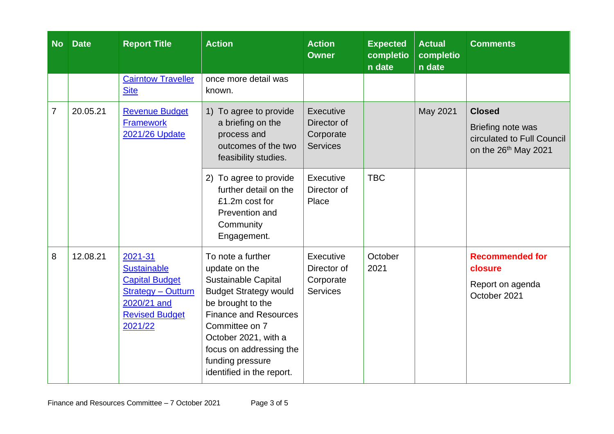| <b>No</b>      | <b>Date</b> | <b>Report Title</b>                                                                                                                    | <b>Action</b>                                                                                                                                                                                                                                                        | <b>Action</b><br><b>Owner</b>                            | <b>Expected</b><br>completio<br>n date | <b>Actual</b><br>completio<br>n date | <b>Comments</b>                                                                                      |
|----------------|-------------|----------------------------------------------------------------------------------------------------------------------------------------|----------------------------------------------------------------------------------------------------------------------------------------------------------------------------------------------------------------------------------------------------------------------|----------------------------------------------------------|----------------------------------------|--------------------------------------|------------------------------------------------------------------------------------------------------|
|                |             | <b>Cairntow Traveller</b><br><b>Site</b>                                                                                               | once more detail was<br>known.                                                                                                                                                                                                                                       |                                                          |                                        |                                      |                                                                                                      |
| $\overline{7}$ | 20.05.21    | <b>Revenue Budget</b><br><b>Framework</b><br>2021/26 Update                                                                            | 1) To agree to provide<br>a briefing on the<br>process and<br>outcomes of the two<br>feasibility studies.                                                                                                                                                            | Executive<br>Director of<br>Corporate<br><b>Services</b> |                                        | May 2021                             | <b>Closed</b><br>Briefing note was<br>circulated to Full Council<br>on the 26 <sup>th</sup> May 2021 |
|                |             |                                                                                                                                        | To agree to provide<br>(2)<br>further detail on the<br>£1.2m cost for<br>Prevention and<br>Community<br>Engagement.                                                                                                                                                  | Executive<br>Director of<br>Place                        | <b>TBC</b>                             |                                      |                                                                                                      |
| 8              | 12.08.21    | 2021-31<br><b>Sustainable</b><br><b>Capital Budget</b><br><b>Strategy - Outturn</b><br>2020/21 and<br><b>Revised Budget</b><br>2021/22 | To note a further<br>update on the<br>Sustainable Capital<br><b>Budget Strategy would</b><br>be brought to the<br><b>Finance and Resources</b><br>Committee on 7<br>October 2021, with a<br>focus on addressing the<br>funding pressure<br>identified in the report. | Executive<br>Director of<br>Corporate<br><b>Services</b> | October<br>2021                        |                                      | <b>Recommended for</b><br>closure<br>Report on agenda<br>October 2021                                |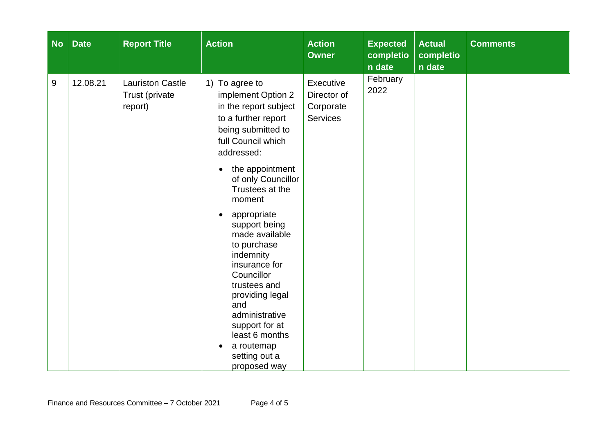| <b>No</b> | <b>Date</b> | <b>Report Title</b>                                  | <b>Action</b>                                                                                                                                                                                                                                                                                                                                                                                                                                                                    | <b>Action</b><br><b>Owner</b>                            | <b>Expected</b><br>completio<br>n date | <b>Actual</b><br>completio<br>n date | <b>Comments</b> |
|-----------|-------------|------------------------------------------------------|----------------------------------------------------------------------------------------------------------------------------------------------------------------------------------------------------------------------------------------------------------------------------------------------------------------------------------------------------------------------------------------------------------------------------------------------------------------------------------|----------------------------------------------------------|----------------------------------------|--------------------------------------|-----------------|
| 9         | 12.08.21    | <b>Lauriston Castle</b><br>Trust (private<br>report) | 1) To agree to<br>implement Option 2<br>in the report subject<br>to a further report<br>being submitted to<br>full Council which<br>addressed:<br>the appointment<br>of only Councillor<br>Trustees at the<br>moment<br>appropriate<br>support being<br>made available<br>to purchase<br>indemnity<br>insurance for<br>Councillor<br>trustees and<br>providing legal<br>and<br>administrative<br>support for at<br>least 6 months<br>a routemap<br>setting out a<br>proposed way | Executive<br>Director of<br>Corporate<br><b>Services</b> | February<br>2022                       |                                      |                 |